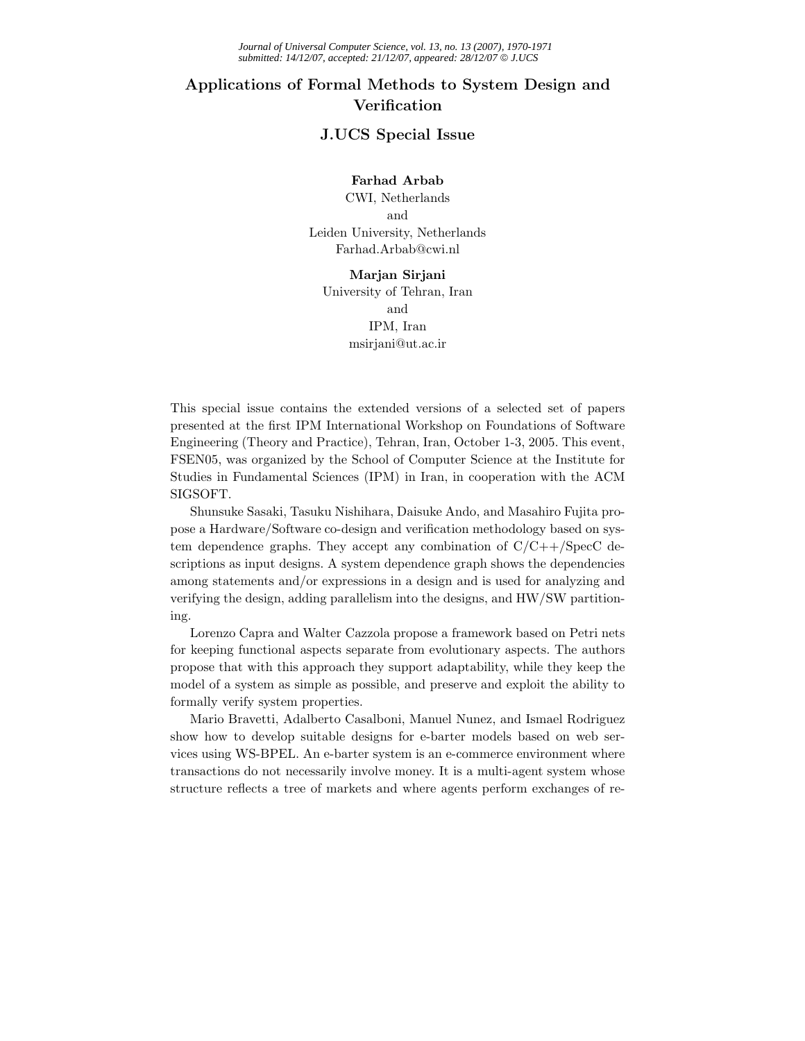## **Applications of Formal Methods to System Design and Verification**

## **J.UCS Special Issue**

## **Farhad Arbab**

CWI, Netherlands and Leiden University, Netherlands Farhad.Arbab@cwi.nl

**Marjan Sirjani** University of Tehran, Iran and IPM, Iran msirjani@ut.ac.ir

This special issue contains the extended versions of a selected set of papers presented at the first IPM International Workshop on Foundations of Software Engineering (Theory and Practice), Tehran, Iran, October 1-3, 2005. This event, FSEN05, was organized by the School of Computer Science at the Institute for Studies in Fundamental Sciences (IPM) in Iran, in cooperation with the ACM SIGSOFT.

Shunsuke Sasaki, Tasuku Nishihara, Daisuke Ando, and Masahiro Fujita propose a Hardware/Software co-design and verification methodology based on system dependence graphs. They accept any combination of  $C/C++/Spec C$  descriptions as input designs. A system dependence graph shows the dependencies among statements and/or expressions in a design and is used for analyzing and verifying the design, adding parallelism into the designs, and HW/SW partitioning.

Lorenzo Capra and Walter Cazzola propose a framework based on Petri nets for keeping functional aspects separate from evolutionary aspects. The authors propose that with this approach they support adaptability, while they keep the model of a system as simple as possible, and preserve and exploit the ability to formally verify system properties.

Mario Bravetti, Adalberto Casalboni, Manuel Nunez, and Ismael Rodriguez show how to develop suitable designs for e-barter models based on web services using WS-BPEL. An e-barter system is an e-commerce environment where transactions do not necessarily involve money. It is a multi-agent system whose structure reflects a tree of markets and where agents perform exchanges of re